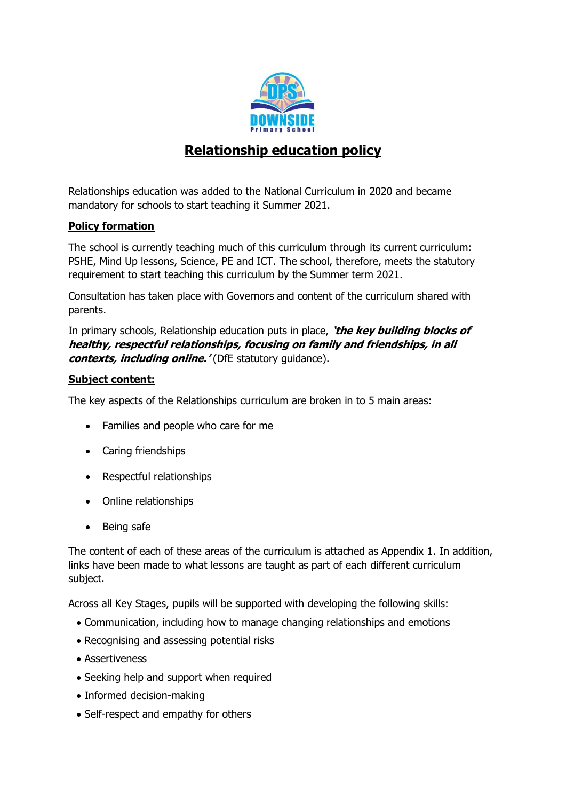

# **Relationship education policy**

Relationships education was added to the National Curriculum in 2020 and became mandatory for schools to start teaching it Summer 2021.

# **Policy formation**

The school is currently teaching much of this curriculum through its current curriculum: PSHE, Mind Up lessons, Science, PE and ICT. The school, therefore, meets the statutory requirement to start teaching this curriculum by the Summer term 2021.

Consultation has taken place with Governors and content of the curriculum shared with parents.

In primary schools, Relationship education puts in place, **'the key building blocks of healthy, respectful relationships, focusing on family and friendships, in all**  *contexts, including online.'* (DfE statutory guidance).

#### **Subject content:**

The key aspects of the Relationships curriculum are broken in to 5 main areas:

- Families and people who care for me
- Caring friendships
- Respectful relationships
- Online relationships
- Being safe

The content of each of these areas of the curriculum is attached as Appendix 1. In addition, links have been made to what lessons are taught as part of each different curriculum subject.

Across all Key Stages, pupils will be supported with developing the following skills:

- Communication, including how to manage changing relationships and emotions
- Recognising and assessing potential risks
- Assertiveness
- Seeking help and support when required
- Informed decision-making
- Self-respect and empathy for others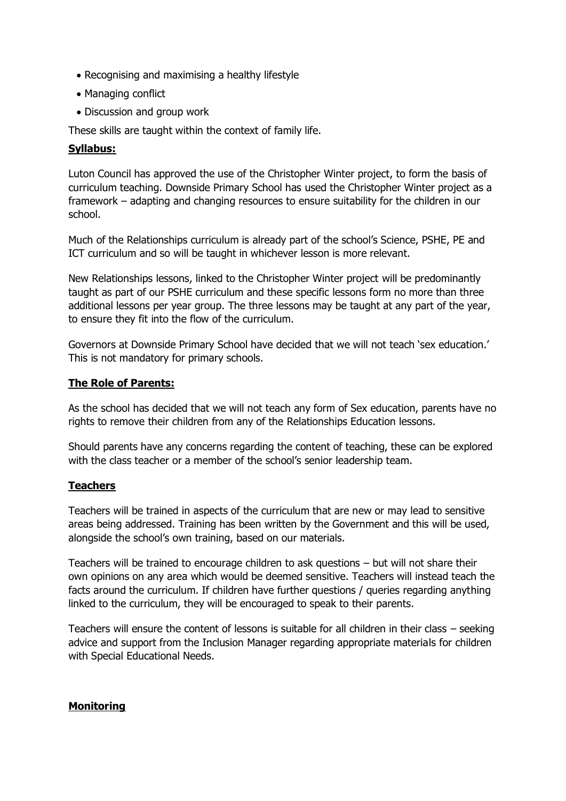- Recognising and maximising a healthy lifestyle
- Managing conflict
- Discussion and group work

These skills are taught within the context of family life.

# **Syllabus:**

Luton Council has approved the use of the Christopher Winter project, to form the basis of curriculum teaching. Downside Primary School has used the Christopher Winter project as a framework – adapting and changing resources to ensure suitability for the children in our school.

Much of the Relationships curriculum is already part of the school's Science, PSHE, PE and ICT curriculum and so will be taught in whichever lesson is more relevant.

New Relationships lessons, linked to the Christopher Winter project will be predominantly taught as part of our PSHE curriculum and these specific lessons form no more than three additional lessons per year group. The three lessons may be taught at any part of the year, to ensure they fit into the flow of the curriculum.

Governors at Downside Primary School have decided that we will not teach 'sex education.' This is not mandatory for primary schools.

# **The Role of Parents:**

As the school has decided that we will not teach any form of Sex education, parents have no rights to remove their children from any of the Relationships Education lessons.

Should parents have any concerns regarding the content of teaching, these can be explored with the class teacher or a member of the school's senior leadership team.

## **Teachers**

Teachers will be trained in aspects of the curriculum that are new or may lead to sensitive areas being addressed. Training has been written by the Government and this will be used, alongside the school's own training, based on our materials.

Teachers will be trained to encourage children to ask questions – but will not share their own opinions on any area which would be deemed sensitive. Teachers will instead teach the facts around the curriculum. If children have further questions / queries regarding anything linked to the curriculum, they will be encouraged to speak to their parents.

Teachers will ensure the content of lessons is suitable for all children in their class – seeking advice and support from the Inclusion Manager regarding appropriate materials for children with Special Educational Needs.

## **Monitoring**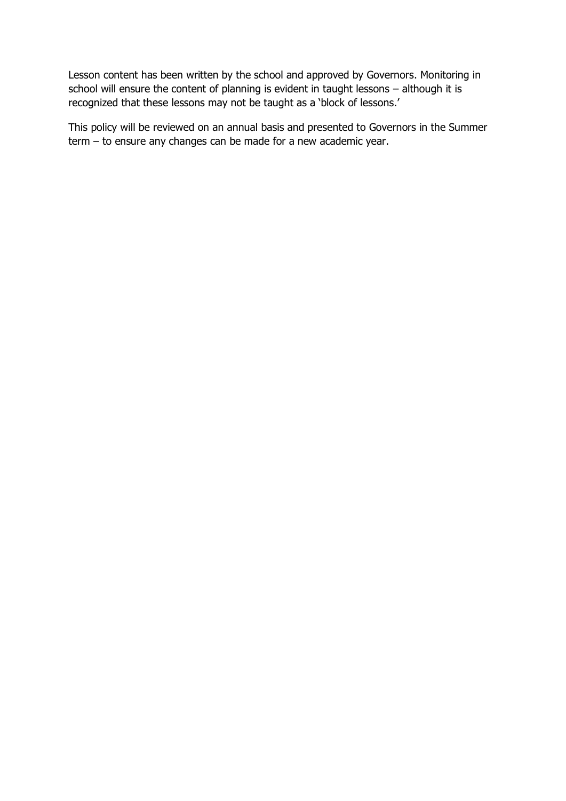Lesson content has been written by the school and approved by Governors. Monitoring in school will ensure the content of planning is evident in taught lessons – although it is recognized that these lessons may not be taught as a 'block of lessons.'

This policy will be reviewed on an annual basis and presented to Governors in the Summer term – to ensure any changes can be made for a new academic year.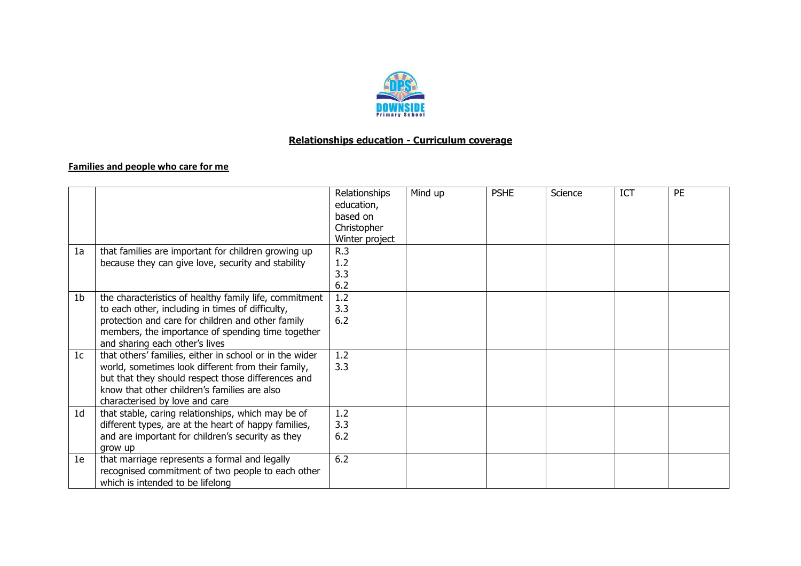

#### **Relationships education - Curriculum coverage**

#### **Families and people who care for me**

|                |                                                         | Relationships  | Mind up | <b>PSHE</b> | Science | <b>ICT</b> | <b>PE</b> |
|----------------|---------------------------------------------------------|----------------|---------|-------------|---------|------------|-----------|
|                |                                                         | education,     |         |             |         |            |           |
|                |                                                         | based on       |         |             |         |            |           |
|                |                                                         | Christopher    |         |             |         |            |           |
|                |                                                         | Winter project |         |             |         |            |           |
| 1a             | that families are important for children growing up     | R.3            |         |             |         |            |           |
|                | because they can give love, security and stability      | 1.2            |         |             |         |            |           |
|                |                                                         | 3.3            |         |             |         |            |           |
|                |                                                         | 6.2            |         |             |         |            |           |
| 1 <sub>b</sub> | the characteristics of healthy family life, commitment  | 1.2            |         |             |         |            |           |
|                | to each other, including in times of difficulty,        | 3.3            |         |             |         |            |           |
|                | protection and care for children and other family       | 6.2            |         |             |         |            |           |
|                | members, the importance of spending time together       |                |         |             |         |            |           |
|                | and sharing each other's lives                          |                |         |             |         |            |           |
| 1 <sub>c</sub> | that others' families, either in school or in the wider | 1.2            |         |             |         |            |           |
|                | world, sometimes look different from their family,      | 3.3            |         |             |         |            |           |
|                | but that they should respect those differences and      |                |         |             |         |            |           |
|                | know that other children's families are also            |                |         |             |         |            |           |
|                | characterised by love and care                          |                |         |             |         |            |           |
| 1 <sub>d</sub> | that stable, caring relationships, which may be of      | 1.2            |         |             |         |            |           |
|                | different types, are at the heart of happy families,    | 3.3            |         |             |         |            |           |
|                | and are important for children's security as they       | 6.2            |         |             |         |            |           |
|                | grow up                                                 |                |         |             |         |            |           |
| 1e             | that marriage represents a formal and legally           | 6.2            |         |             |         |            |           |
|                | recognised commitment of two people to each other       |                |         |             |         |            |           |
|                | which is intended to be lifelong                        |                |         |             |         |            |           |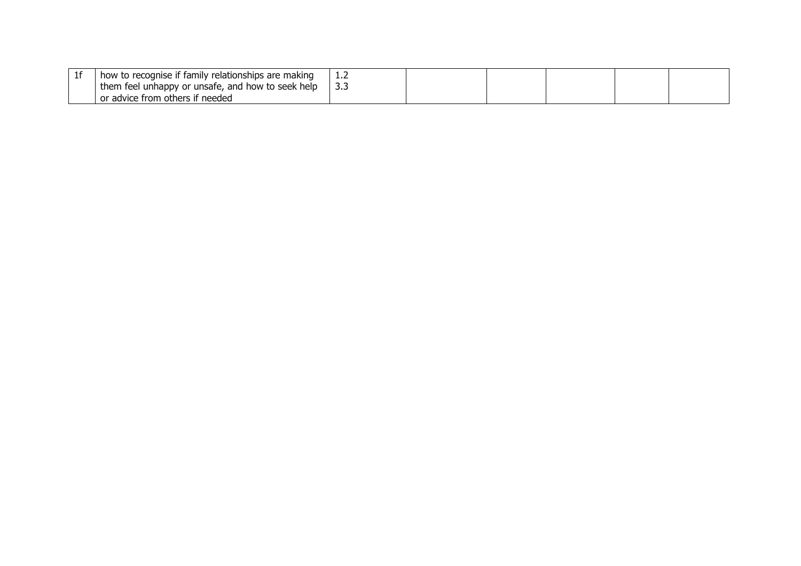| how to recognise if family relationships are making |  |  |  |
|-----------------------------------------------------|--|--|--|
| them feel unhappy or unsafe, and how to seek help   |  |  |  |
| or advice from others if needed                     |  |  |  |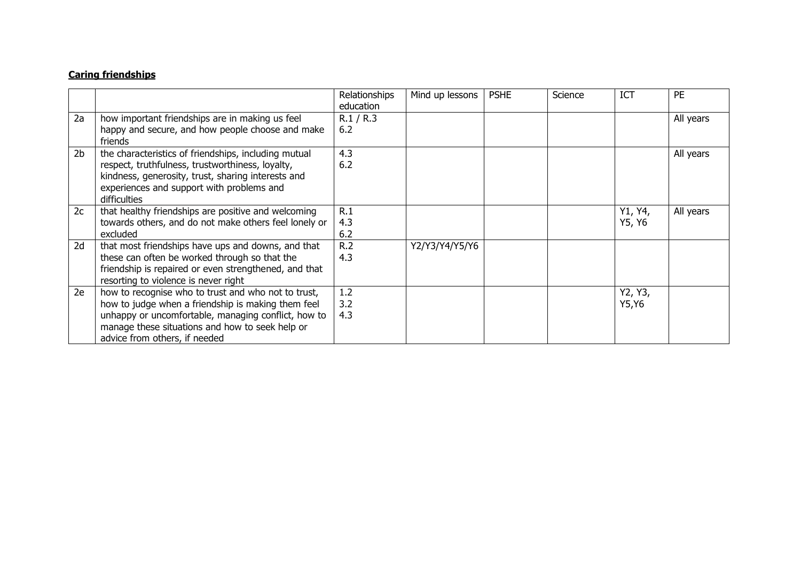### **Caring friendships**

|                |                                                                                                                                                                                                                                                      | Relationships<br>education | Mind up lessons | <b>PSHE</b> | Science | <b>ICT</b>        | <b>PE</b> |
|----------------|------------------------------------------------------------------------------------------------------------------------------------------------------------------------------------------------------------------------------------------------------|----------------------------|-----------------|-------------|---------|-------------------|-----------|
| 2a             | how important friendships are in making us feel<br>happy and secure, and how people choose and make<br>friends                                                                                                                                       | R.1 / R.3<br>6.2           |                 |             |         |                   | All years |
| 2 <sub>b</sub> | the characteristics of friendships, including mutual<br>respect, truthfulness, trustworthiness, loyalty,<br>kindness, generosity, trust, sharing interests and<br>experiences and support with problems and<br>difficulties                          | 4.3<br>6.2                 |                 |             |         |                   | All years |
| 2c             | that healthy friendships are positive and welcoming<br>towards others, and do not make others feel lonely or<br>excluded                                                                                                                             | R.1<br>4.3<br>6.2          |                 |             |         | Y1, Y4,<br>Y5, Y6 | All years |
| 2d             | that most friendships have ups and downs, and that<br>these can often be worked through so that the<br>friendship is repaired or even strengthened, and that<br>resorting to violence is never right                                                 | R.2<br>4.3                 | Y2/Y3/Y4/Y5/Y6  |             |         |                   |           |
| 2e             | how to recognise who to trust and who not to trust,<br>how to judge when a friendship is making them feel<br>unhappy or uncomfortable, managing conflict, how to<br>manage these situations and how to seek help or<br>advice from others, if needed | 1.2<br>3.2<br>4.3          |                 |             |         | Y2, Y3,<br>Y5, Y6 |           |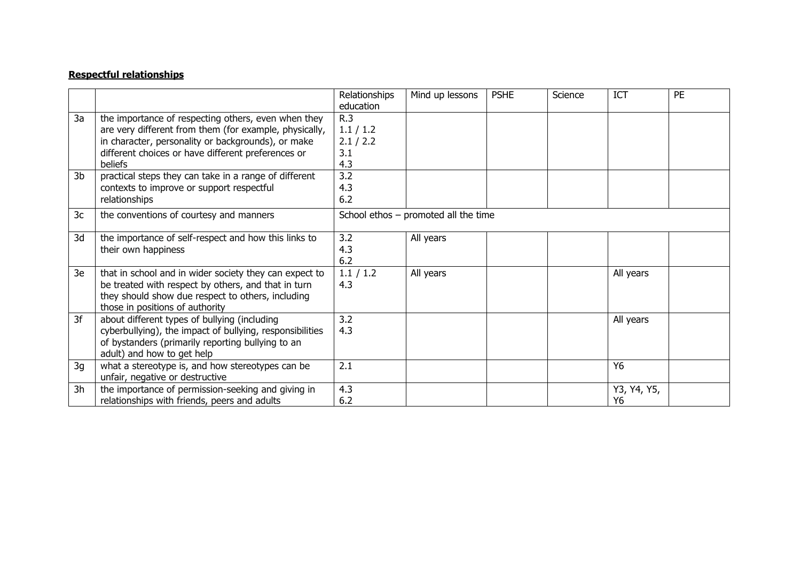#### **Respectful relationships**

|    |                                                                                                                                                                                                                                      | Relationships<br>education                  | Mind up lessons                      | <b>PSHE</b> | Science | <b>ICT</b>        | <b>PE</b> |
|----|--------------------------------------------------------------------------------------------------------------------------------------------------------------------------------------------------------------------------------------|---------------------------------------------|--------------------------------------|-------------|---------|-------------------|-----------|
| 3a | the importance of respecting others, even when they<br>are very different from them (for example, physically,<br>in character, personality or backgrounds), or make<br>different choices or have different preferences or<br>beliefs | R.3<br>1.1 / 1.2<br>2.1 / 2.2<br>3.1<br>4.3 |                                      |             |         |                   |           |
| 3b | practical steps they can take in a range of different<br>contexts to improve or support respectful<br>relationships                                                                                                                  | 3.2<br>4.3<br>6.2                           |                                      |             |         |                   |           |
| 3c | the conventions of courtesy and manners                                                                                                                                                                                              |                                             | School ethos - promoted all the time |             |         |                   |           |
| 3d | the importance of self-respect and how this links to<br>their own happiness                                                                                                                                                          | 3.2<br>4.3<br>6.2                           | All years                            |             |         |                   |           |
| 3e | that in school and in wider society they can expect to<br>be treated with respect by others, and that in turn<br>they should show due respect to others, including<br>those in positions of authority                                | 1.1 / 1.2<br>4.3                            | All years                            |             |         | All years         |           |
| 3f | about different types of bullying (including<br>cyberbullying), the impact of bullying, responsibilities<br>of bystanders (primarily reporting bullying to an<br>adult) and how to get help                                          | 3.2<br>4.3                                  |                                      |             |         | All years         |           |
| 3g | what a stereotype is, and how stereotypes can be<br>unfair, negative or destructive                                                                                                                                                  | 2.1                                         |                                      |             |         | Y6                |           |
| 3h | the importance of permission-seeking and giving in<br>relationships with friends, peers and adults                                                                                                                                   | 4.3<br>6.2                                  |                                      |             |         | Y3, Y4, Y5,<br>Y6 |           |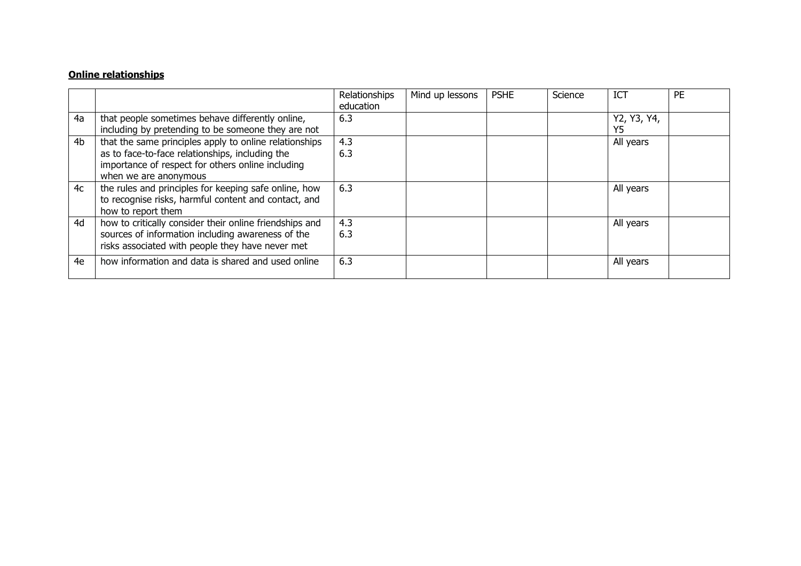#### **Online relationships**

|                |                                                                                                                                                                                         | Relationships<br>education | Mind up lessons | <b>PSHE</b> | Science | <b>ICT</b>        | <b>PE</b> |
|----------------|-----------------------------------------------------------------------------------------------------------------------------------------------------------------------------------------|----------------------------|-----------------|-------------|---------|-------------------|-----------|
| 4a             | that people sometimes behave differently online,<br>including by pretending to be someone they are not                                                                                  | 6.3                        |                 |             |         | Y2, Y3, Y4,<br>Y5 |           |
| 4 <sub>b</sub> | that the same principles apply to online relationships<br>as to face-to-face relationships, including the<br>importance of respect for others online including<br>when we are anonymous | 4.3<br>6.3                 |                 |             |         | All years         |           |
| 4c             | the rules and principles for keeping safe online, how<br>to recognise risks, harmful content and contact, and<br>how to report them                                                     | 6.3                        |                 |             |         | All years         |           |
| 4d             | how to critically consider their online friendships and<br>sources of information including awareness of the<br>risks associated with people they have never met                        | 4.3<br>6.3                 |                 |             |         | All years         |           |
| 4e             | how information and data is shared and used online                                                                                                                                      | 6.3                        |                 |             |         | All years         |           |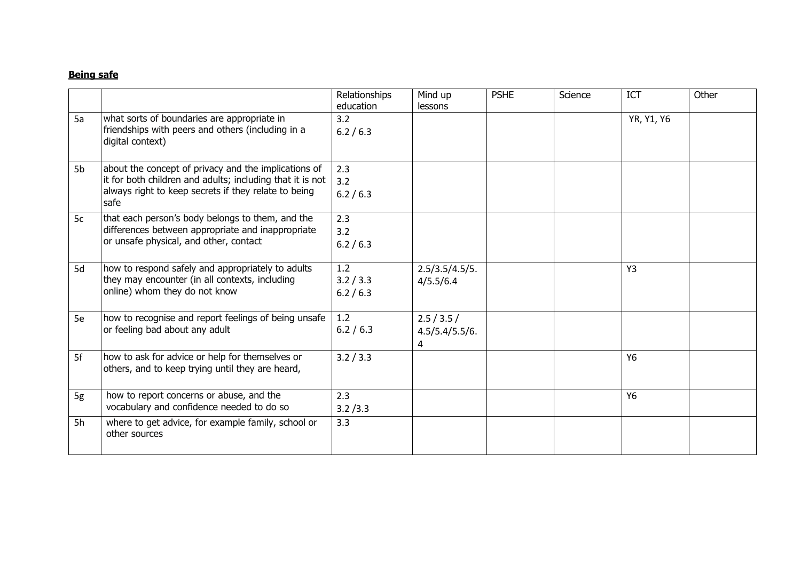#### **Being safe**

|    |                                                                                                                                                                                   | Relationships<br>education    | Mind up<br>lessons                 | <b>PSHE</b> | Science | ICT        | Other |
|----|-----------------------------------------------------------------------------------------------------------------------------------------------------------------------------------|-------------------------------|------------------------------------|-------------|---------|------------|-------|
| 5a | what sorts of boundaries are appropriate in<br>friendships with peers and others (including in a<br>digital context)                                                              | 3.2<br>6.2 / 6.3              |                                    |             |         | YR, Y1, Y6 |       |
| 5b | about the concept of privacy and the implications of<br>it for both children and adults; including that it is not<br>always right to keep secrets if they relate to being<br>safe | 2.3<br>3.2<br>6.2 / 6.3       |                                    |             |         |            |       |
| 5c | that each person's body belongs to them, and the<br>differences between appropriate and inappropriate<br>or unsafe physical, and other, contact                                   | 2.3<br>3.2<br>6.2 / 6.3       |                                    |             |         |            |       |
| 5d | how to respond safely and appropriately to adults<br>they may encounter (in all contexts, including<br>online) whom they do not know                                              | 1.2<br>3.2 / 3.3<br>6.2 / 6.3 | 2.5/3.5/4.5/5.<br>4/5.5/6.4        |             |         | Y3         |       |
| 5e | how to recognise and report feelings of being unsafe<br>or feeling bad about any adult                                                                                            | 1.2<br>6.2 / 6.3              | 2.5 / 3.5 /<br>4.5/5.4/5.5/6.<br>4 |             |         |            |       |
| 5f | how to ask for advice or help for themselves or<br>others, and to keep trying until they are heard,                                                                               | 3.2 / 3.3                     |                                    |             |         | <b>Y6</b>  |       |
| 5g | how to report concerns or abuse, and the<br>vocabulary and confidence needed to do so                                                                                             | 2.3<br>3.2 / 3.3              |                                    |             |         | <b>Y6</b>  |       |
| 5h | where to get advice, for example family, school or<br>other sources                                                                                                               | 3.3                           |                                    |             |         |            |       |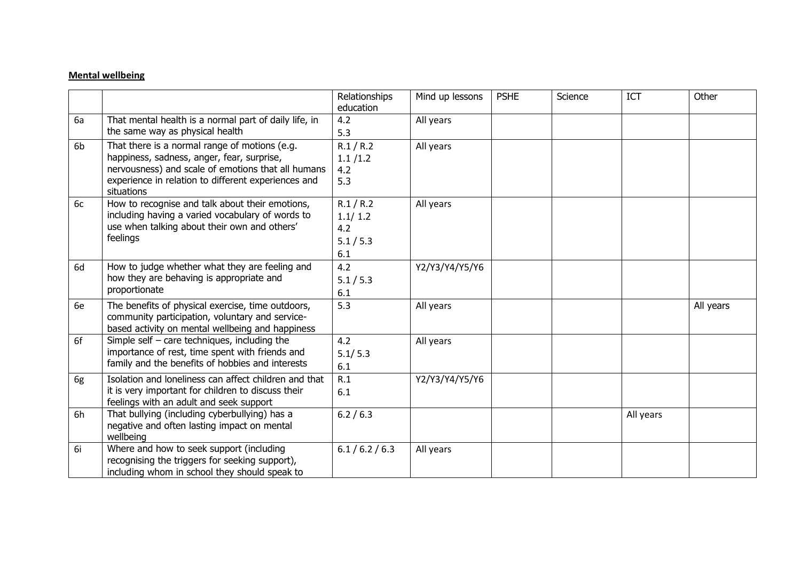#### **Mental wellbeing**

|    |                                                                                                                                                                                                                        | Relationships<br>education                      | Mind up lessons | <b>PSHE</b> | Science | ICT       | Other     |
|----|------------------------------------------------------------------------------------------------------------------------------------------------------------------------------------------------------------------------|-------------------------------------------------|-----------------|-------------|---------|-----------|-----------|
| 6a | That mental health is a normal part of daily life, in<br>the same way as physical health                                                                                                                               | 4.2<br>5.3                                      | All years       |             |         |           |           |
| 6b | That there is a normal range of motions (e.g.<br>happiness, sadness, anger, fear, surprise,<br>nervousness) and scale of emotions that all humans<br>experience in relation to different experiences and<br>situations | R.1 / R.2<br>1.1 / 1.2<br>4.2<br>5.3            | All years       |             |         |           |           |
| 6c | How to recognise and talk about their emotions,<br>including having a varied vocabulary of words to<br>use when talking about their own and others'<br>feelings                                                        | R.1 / R.2<br>1.1/1.2<br>4.2<br>5.1 / 5.3<br>6.1 | All years       |             |         |           |           |
| 6d | How to judge whether what they are feeling and<br>how they are behaving is appropriate and<br>proportionate                                                                                                            | 4.2<br>5.1 / 5.3<br>6.1                         | Y2/Y3/Y4/Y5/Y6  |             |         |           |           |
| 6e | The benefits of physical exercise, time outdoors,<br>community participation, voluntary and service-<br>based activity on mental wellbeing and happiness                                                               | 5.3                                             | All years       |             |         |           | All years |
| 6f | Simple self $-$ care techniques, including the<br>importance of rest, time spent with friends and<br>family and the benefits of hobbies and interests                                                                  | 4.2<br>5.1/5.3<br>6.1                           | All years       |             |         |           |           |
| 6g | Isolation and loneliness can affect children and that<br>it is very important for children to discuss their<br>feelings with an adult and seek support                                                                 | R.1<br>6.1                                      | Y2/Y3/Y4/Y5/Y6  |             |         |           |           |
| 6h | That bullying (including cyberbullying) has a<br>negative and often lasting impact on mental<br>wellbeing                                                                                                              | 6.2 / 6.3                                       |                 |             |         | All years |           |
| 6i | Where and how to seek support (including<br>recognising the triggers for seeking support),<br>including whom in school they should speak to                                                                            | 6.1 / 6.2 / 6.3                                 | All years       |             |         |           |           |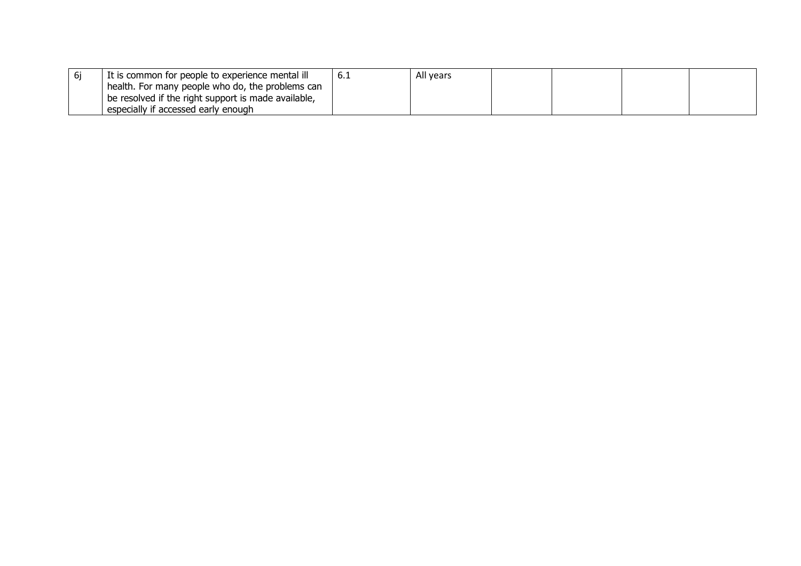| It is common for people to experience mental ill    | All years |  |  |
|-----------------------------------------------------|-----------|--|--|
| health. For many people who do, the problems can    |           |  |  |
| be resolved if the right support is made available, |           |  |  |
| especially if accessed early enough                 |           |  |  |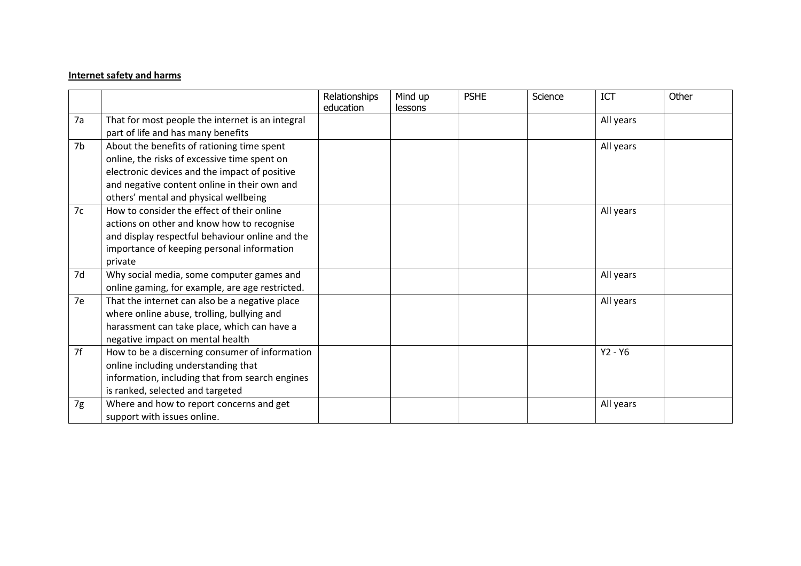#### **Internet safety and harms**

|    |                                                  | Relationships<br>education | Mind up<br>lessons | <b>PSHE</b> | Science | <b>ICT</b> | Other |
|----|--------------------------------------------------|----------------------------|--------------------|-------------|---------|------------|-------|
| 7a | That for most people the internet is an integral |                            |                    |             |         | All years  |       |
|    | part of life and has many benefits               |                            |                    |             |         |            |       |
| 7b | About the benefits of rationing time spent       |                            |                    |             |         | All years  |       |
|    | online, the risks of excessive time spent on     |                            |                    |             |         |            |       |
|    | electronic devices and the impact of positive    |                            |                    |             |         |            |       |
|    | and negative content online in their own and     |                            |                    |             |         |            |       |
|    | others' mental and physical wellbeing            |                            |                    |             |         |            |       |
| 7c | How to consider the effect of their online       |                            |                    |             |         | All years  |       |
|    | actions on other and know how to recognise       |                            |                    |             |         |            |       |
|    | and display respectful behaviour online and the  |                            |                    |             |         |            |       |
|    | importance of keeping personal information       |                            |                    |             |         |            |       |
|    | private                                          |                            |                    |             |         |            |       |
| 7d | Why social media, some computer games and        |                            |                    |             |         | All years  |       |
|    | online gaming, for example, are age restricted.  |                            |                    |             |         |            |       |
| 7e | That the internet can also be a negative place   |                            |                    |             |         | All years  |       |
|    | where online abuse, trolling, bullying and       |                            |                    |             |         |            |       |
|    | harassment can take place, which can have a      |                            |                    |             |         |            |       |
|    | negative impact on mental health                 |                            |                    |             |         |            |       |
| 7f | How to be a discerning consumer of information   |                            |                    |             |         | $Y2 - Y6$  |       |
|    | online including understanding that              |                            |                    |             |         |            |       |
|    | information, including that from search engines  |                            |                    |             |         |            |       |
|    | is ranked, selected and targeted                 |                            |                    |             |         |            |       |
| 7g | Where and how to report concerns and get         |                            |                    |             |         | All years  |       |
|    | support with issues online.                      |                            |                    |             |         |            |       |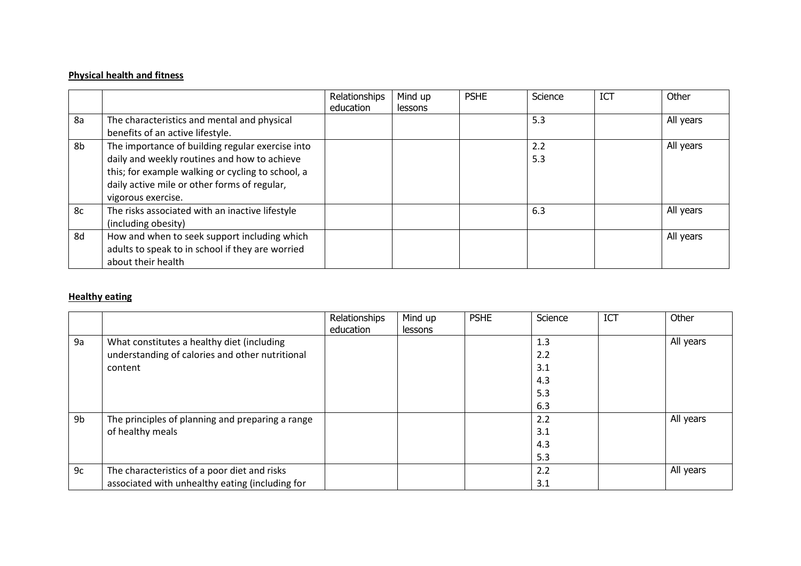# **Physical health and fitness**

|    |                                                                                                                                                                                                                             | Relationships<br>education | Mind up<br>lessons | <b>PSHE</b> | Science    | <b>ICT</b> | Other     |
|----|-----------------------------------------------------------------------------------------------------------------------------------------------------------------------------------------------------------------------------|----------------------------|--------------------|-------------|------------|------------|-----------|
| 8a | The characteristics and mental and physical<br>benefits of an active lifestyle.                                                                                                                                             |                            |                    |             | 5.3        |            | All years |
| 8b | The importance of building regular exercise into<br>daily and weekly routines and how to achieve<br>this; for example walking or cycling to school, a<br>daily active mile or other forms of regular,<br>vigorous exercise. |                            |                    |             | 2.2<br>5.3 |            | All years |
| 8c | The risks associated with an inactive lifestyle<br>(including obesity)                                                                                                                                                      |                            |                    |             | 6.3        |            | All years |
| 8d | How and when to seek support including which<br>adults to speak to in school if they are worried<br>about their health                                                                                                      |                            |                    |             |            |            | All years |

#### **Healthy eating**

|    |                                                  | Relationships<br>education | Mind up<br>lessons | <b>PSHE</b> | Science | <b>ICT</b> | Other     |
|----|--------------------------------------------------|----------------------------|--------------------|-------------|---------|------------|-----------|
| 9a | What constitutes a healthy diet (including       |                            |                    |             | 1.3     |            | All years |
|    | understanding of calories and other nutritional  |                            |                    |             | 2.2     |            |           |
|    | content                                          |                            |                    |             | 3.1     |            |           |
|    |                                                  |                            |                    |             | 4.3     |            |           |
|    |                                                  |                            |                    |             | 5.3     |            |           |
|    |                                                  |                            |                    |             | 6.3     |            |           |
| 9b | The principles of planning and preparing a range |                            |                    |             | 2.2     |            | All years |
|    | of healthy meals                                 |                            |                    |             | 3.1     |            |           |
|    |                                                  |                            |                    |             | 4.3     |            |           |
|    |                                                  |                            |                    |             | 5.3     |            |           |
| 9c | The characteristics of a poor diet and risks     |                            |                    |             | 2.2     |            | All years |
|    | associated with unhealthy eating (including for  |                            |                    |             | 3.1     |            |           |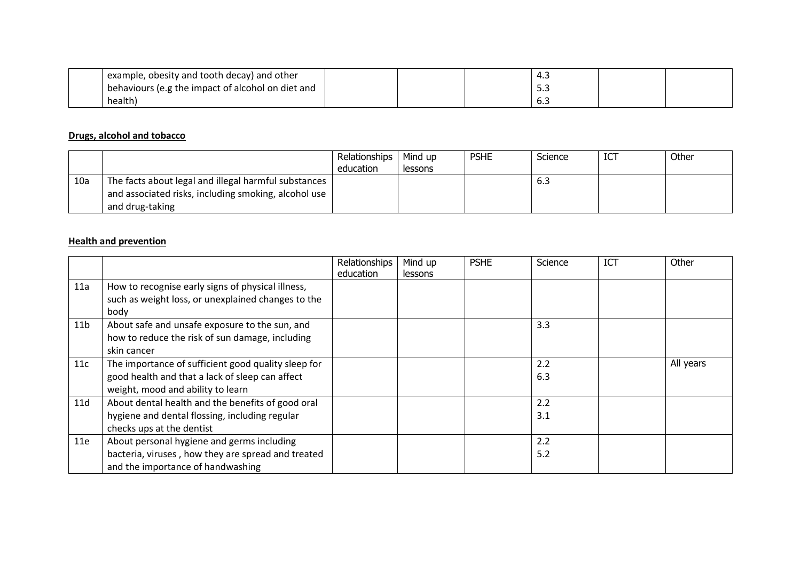| example, obesity and tooth decay) and other       |  | 4.5 |  |
|---------------------------------------------------|--|-----|--|
| behaviours (e.g the impact of alcohol on diet and |  | ر.ر |  |
| health)                                           |  | 0.J |  |

#### **Drugs, alcohol and tobacco**

|     |                                                                                                              | Relationships  <br>education | Mind up<br>lessons | <b>PSHE</b> | Science | ICT | Other |
|-----|--------------------------------------------------------------------------------------------------------------|------------------------------|--------------------|-------------|---------|-----|-------|
| 10a | The facts about legal and illegal harmful substances<br>and associated risks, including smoking, alcohol use |                              |                    |             | 6.3     |     |       |
|     | and drug-taking                                                                                              |                              |                    |             |         |     |       |

#### **Health and prevention**

|                 |                                                     | Relationships<br>education | Mind up<br>lessons | <b>PSHE</b> | Science | ICT | Other     |
|-----------------|-----------------------------------------------------|----------------------------|--------------------|-------------|---------|-----|-----------|
| 11a             | How to recognise early signs of physical illness,   |                            |                    |             |         |     |           |
|                 | such as weight loss, or unexplained changes to the  |                            |                    |             |         |     |           |
|                 | body                                                |                            |                    |             |         |     |           |
| 11 <sub>b</sub> | About safe and unsafe exposure to the sun, and      |                            |                    |             | 3.3     |     |           |
|                 | how to reduce the risk of sun damage, including     |                            |                    |             |         |     |           |
|                 | skin cancer                                         |                            |                    |             |         |     |           |
| 11c             | The importance of sufficient good quality sleep for |                            |                    |             | 2.2     |     | All years |
|                 | good health and that a lack of sleep can affect     |                            |                    |             | 6.3     |     |           |
|                 | weight, mood and ability to learn                   |                            |                    |             |         |     |           |
| 11d             | About dental health and the benefits of good oral   |                            |                    |             | 2.2     |     |           |
|                 | hygiene and dental flossing, including regular      |                            |                    |             | 3.1     |     |           |
|                 | checks ups at the dentist                           |                            |                    |             |         |     |           |
| 11e             | About personal hygiene and germs including          |                            |                    |             | 2.2     |     |           |
|                 | bacteria, viruses, how they are spread and treated  |                            |                    |             | 5.2     |     |           |
|                 | and the importance of handwashing                   |                            |                    |             |         |     |           |